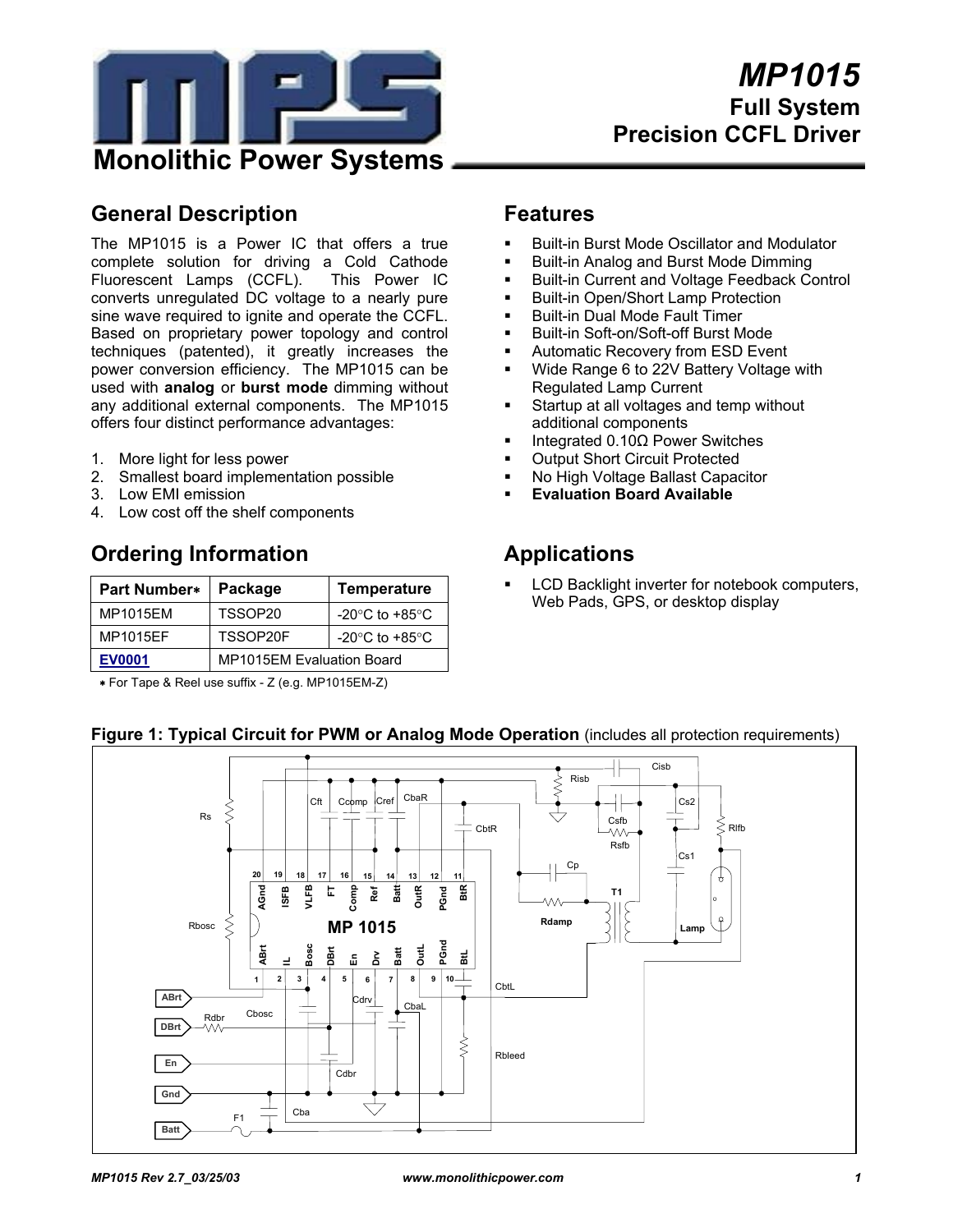

# **General Description**

The MP1015 is a Power IC that offers a true complete solution for driving a Cold Cathode Fluorescent Lamps (CCFL). This Power IC converts unregulated DC voltage to a nearly pure sine wave required to ignite and operate the CCFL. Based on proprietary power topology and control techniques (patented), it greatly increases the power conversion efficiency. The MP1015 can be used with **analog** or **burst mode** dimming without any additional external components. The MP1015 offers four distinct performance advantages:

- 1. More light for less power
- 2. Smallest board implementation possible
- 3. Low EMI emission
- 4. Low cost off the shelf components

# **Ordering Information**

| <b>Part Number*</b> | Package                   | Temperature                        |  |
|---------------------|---------------------------|------------------------------------|--|
| MP1015EM            | TSSOP20                   | -20 $\degree$ C to +85 $\degree$ C |  |
| <b>MP1015EF</b>     | TSSOP20F                  | -20 $\degree$ C to +85 $\degree$ C |  |
| <b>EV0001</b>       | MP1015EM Evaluation Board |                                    |  |

∗ For Tape & Reel use suffix - Z (e.g. MP1015EM-Z)

## **Features**

- Built-in Burst Mode Oscillator and Modulator
- Built-in Analog and Burst Mode Dimming
- Built-in Current and Voltage Feedback Control
- **Built-in Open/Short Lamp Protection**
- **Built-in Dual Mode Fault Timer**
- Built-in Soft-on/Soft-off Burst Mode
- **Automatic Recovery from ESD Event**
- **Wide Range 6 to 22V Battery Voltage with** Regulated Lamp Current
- **Startup at all voltages and temp without** additional components
- Integrated 0.10Ω Power Switches
- Output Short Circuit Protected
- No High Voltage Ballast Capacitor
- **Evaluation Board Available**

# **Applications**

 LCD Backlight inverter for notebook computers, Web Pads, GPS, or desktop display

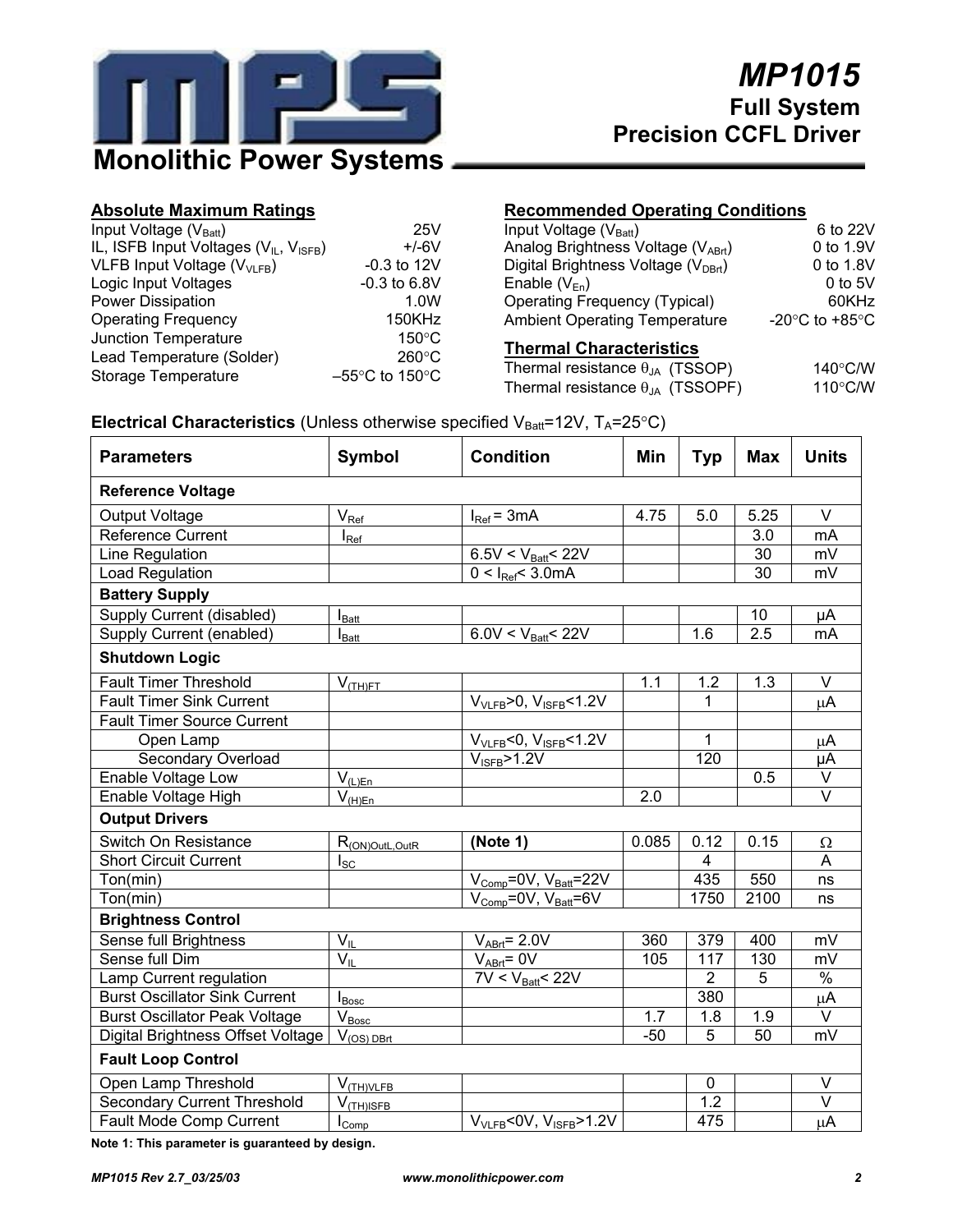

### **Absolute Maximum Ratings**

| Input Voltage (V <sub>Batt</sub> )                             | 25V                                 |
|----------------------------------------------------------------|-------------------------------------|
| IL, ISFB Input Voltages (V <sub>IL</sub> , V <sub>ISFB</sub> ) | $+/-6V$                             |
| VLFB Input Voltage (V <sub>VLFB</sub> )                        | $-0.3$ to 12V                       |
| Logic Input Voltages                                           | $-0.3$ to $6.8V$                    |
| Power Dissipation                                              | 1.0W                                |
| <b>Operating Frequency</b>                                     | 150KHz                              |
| Junction Temperature                                           | $150^{\circ}$ C                     |
| Lead Temperature (Solder)                                      | $260^{\circ}$ C                     |
| Storage Temperature                                            | $-55^{\circ}$ C to 150 $^{\circ}$ C |

### **Recommended Operating Conditions**

| -20 $\mathrm{^{\circ}C}$ to +85 $\mathrm{^{\circ}C}$ |
|------------------------------------------------------|
| 60KHz                                                |
| $0$ to 5V                                            |
| 0 to 1.8V                                            |
| 0 to 1.9V                                            |
| 6 to 22V                                             |
|                                                      |

| Thermal resistance $\theta_{JA}$ (TSSOP)  | $140^{\circ}$ C/W |
|-------------------------------------------|-------------------|
| Thermal resistance $\theta_{JA}$ (TSSOPF) | 110 $\degree$ C/W |

### **Electrical Characteristics** (Unless otherwise specified V<sub>Batt</sub>=12V, T<sub>A</sub>=25°C)

| <b>Parameters</b>                    | <b>Symbol</b>                | <b>Condition</b>                                | Min   | <b>Typ</b>     | <b>Max</b>       | <b>Units</b>      |
|--------------------------------------|------------------------------|-------------------------------------------------|-------|----------------|------------------|-------------------|
| <b>Reference Voltage</b>             |                              |                                                 |       |                |                  |                   |
| <b>Output Voltage</b>                | $V_{\text{Ref}}$             | $I_{\text{Ref}}$ = 3mA                          | 4.75  | 5.0            | 5.25             | $\vee$            |
| <b>Reference Current</b>             | $I_{\text{Ref}}$             |                                                 |       |                | 3.0              | mA                |
| Line Regulation                      |                              | $6.5V < V_{Batt} < 22V$                         |       |                | 30               | mV                |
| Load Regulation                      |                              | $0 < I_{\text{Ref}} < 3.0 \text{mA}$            |       |                | 30               | mV                |
| <b>Battery Supply</b>                |                              |                                                 |       |                |                  |                   |
| Supply Current (disabled)            | $I_{Batt}$                   |                                                 |       |                | 10               | μA                |
| Supply Current (enabled)             | $I_{Batt}$                   | $6.0V < V_{Batt} < 22V$                         |       | 1.6            | $\overline{2.5}$ | mA                |
| <b>Shutdown Logic</b>                |                              |                                                 |       |                |                  |                   |
| <b>Fault Timer Threshold</b>         | $V_{(TH)FT}$                 |                                                 | 1.1   | 1.2            | 1.3              | $\vee$            |
| <b>Fault Timer Sink Current</b>      |                              | $VVLEB > 0$ , $VISFB < 1.2V$                    |       | $\overline{1}$ |                  | $\mu$ A           |
| <b>Fault Timer Source Current</b>    |                              |                                                 |       |                |                  |                   |
| Open Lamp                            |                              | $V_{VLFB}$ <0, $V_{ISFB}$ <1.2V                 |       | 1              |                  | μA                |
| <b>Secondary Overload</b>            |                              | $V_{\text{ISFB}}$ >1.2V                         |       | 120            |                  | μA                |
| Enable Voltage Low                   | $V_{(L)En}$                  |                                                 |       |                | 0.5              | $\vee$            |
| Enable Voltage High                  | $V_{(H)E_1}$                 |                                                 | 2.0   |                |                  | $\overline{\vee}$ |
| <b>Output Drivers</b>                |                              |                                                 |       |                |                  |                   |
| Switch On Resistance                 | $R_{(ON)OutL,OutR}$          | (Note 1)                                        | 0.085 | 0.12           | 0.15             | Ω                 |
| <b>Short Circuit Current</b>         | $I_{SC}$                     |                                                 |       | 4              |                  | A                 |
| Ton(min)                             |                              | $V_{Comp} = 0V$ , $V_{Batt} = 22V$              |       | 435            | 550              | ns                |
| Ton(min)                             |                              | $V_{\text{Comp}} = 0V$ , $V_{\text{Batt}} = 6V$ |       | 1750           | 2100             | ns                |
| <b>Brightness Control</b>            |                              |                                                 |       |                |                  |                   |
| Sense full Brightness                | $V_{IL}$                     | $V_{AB} = 2.0V$                                 | 360   | 379            | 400              | mV                |
| Sense full Dim                       | $V_{IL}$                     | $V_{AB} = 0V$                                   | 105   | 117            | 130              | mV                |
| Lamp Current regulation              |                              | $7V < V_{Batt} < 22V$                           |       | 2              | 5                | $\%$              |
| <b>Burst Oscillator Sink Current</b> | $I_{Bosc}$                   |                                                 |       | 380            |                  | μA                |
| <b>Burst Oscillator Peak Voltage</b> | $\overline{V}_{\text{Bosc}}$ |                                                 | 1.7   | 1.8            | 1.9              | $\overline{\vee}$ |
| Digital Brightness Offset Voltage    | $V_{(OS) DBrt}$              |                                                 | $-50$ | 5              | $\overline{50}$  | mV                |
| <b>Fault Loop Control</b>            |                              |                                                 |       |                |                  |                   |
| Open Lamp Threshold                  | $V_{(TH)VLFB}$               |                                                 |       | $\mathbf 0$    |                  | $\overline{\vee}$ |
| <b>Secondary Current Threshold</b>   | $V_{(TH)ISFB}$               |                                                 |       | 1.2            |                  | $\overline{\vee}$ |
| Fault Mode Comp Current              | $I_{Comp}$                   | $V_{VLEB}$ <0V, $V_{ISEB}$ >1.2V                |       | 475            |                  | μA                |

**Note 1: This parameter is guaranteed by design.**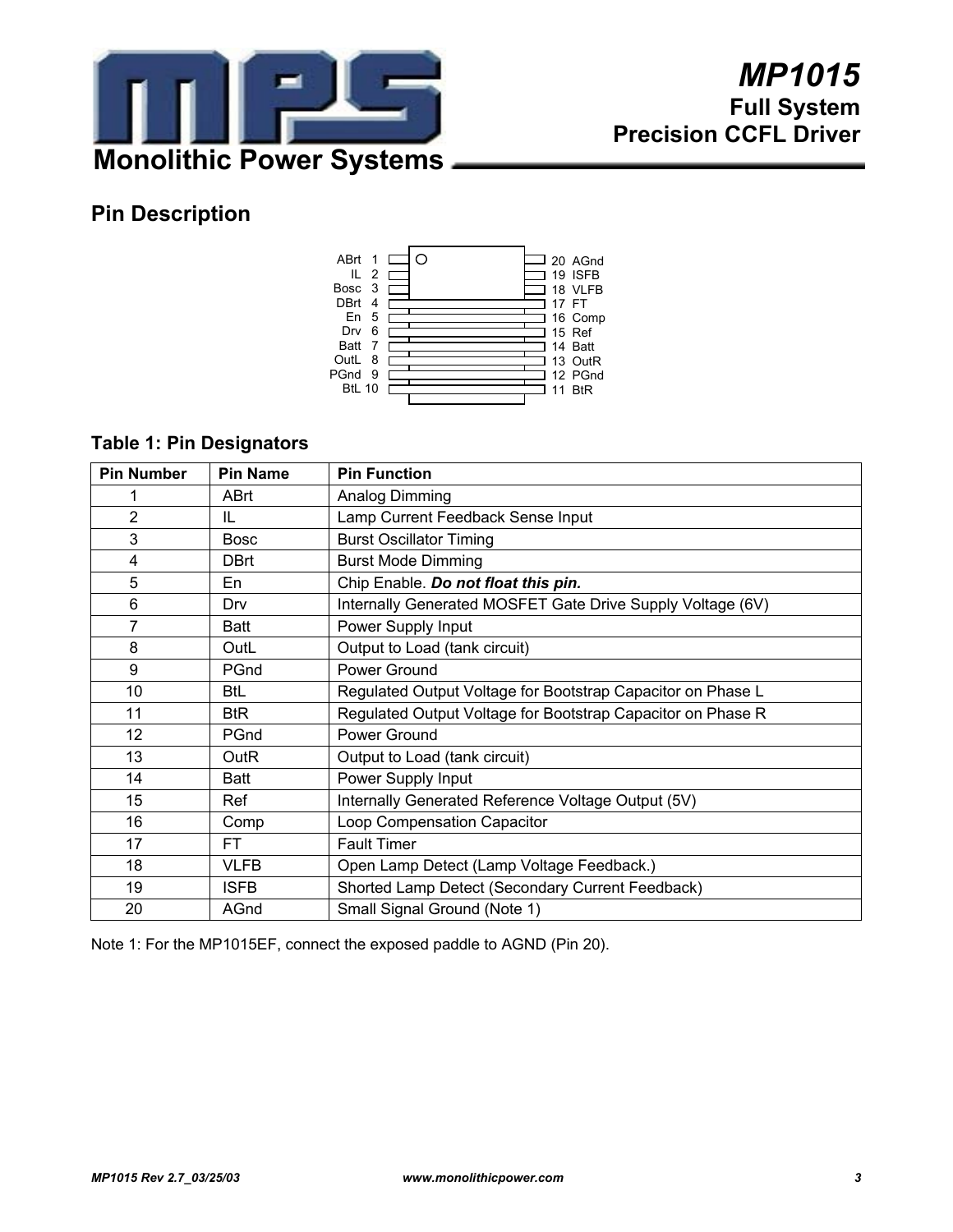

# **Pin Description**



## **Table 1: Pin Designators**

| <b>Pin Number</b> | <b>Pin Name</b> | <b>Pin Function</b>                                         |
|-------------------|-----------------|-------------------------------------------------------------|
|                   | ABrt            | Analog Dimming                                              |
| 2                 | IL              | Lamp Current Feedback Sense Input                           |
| 3                 | <b>Bosc</b>     | <b>Burst Oscillator Timing</b>                              |
| 4                 | <b>DBrt</b>     | <b>Burst Mode Dimming</b>                                   |
| 5                 | En              | Chip Enable. Do not float this pin.                         |
| 6                 | Drv             | Internally Generated MOSFET Gate Drive Supply Voltage (6V)  |
| 7                 | <b>Batt</b>     | Power Supply Input                                          |
| 8                 | OutL            | Output to Load (tank circuit)                               |
| 9                 | PGnd            | Power Ground                                                |
| 10                | <b>BtL</b>      | Regulated Output Voltage for Bootstrap Capacitor on Phase L |
| 11                | <b>BtR</b>      | Regulated Output Voltage for Bootstrap Capacitor on Phase R |
| 12 <sup>2</sup>   | PGnd            | Power Ground                                                |
| 13                | OutR            | Output to Load (tank circuit)                               |
| 14                | <b>Batt</b>     | Power Supply Input                                          |
| 15                | Ref             | Internally Generated Reference Voltage Output (5V)          |
| 16                | Comp            | Loop Compensation Capacitor                                 |
| 17                | FT.             | <b>Fault Timer</b>                                          |
| 18                | <b>VLFB</b>     | Open Lamp Detect (Lamp Voltage Feedback.)                   |
| 19                | <b>ISFB</b>     | Shorted Lamp Detect (Secondary Current Feedback)            |
| 20                | AGnd            | Small Signal Ground (Note 1)                                |

Note 1: For the MP1015EF, connect the exposed paddle to AGND (Pin 20).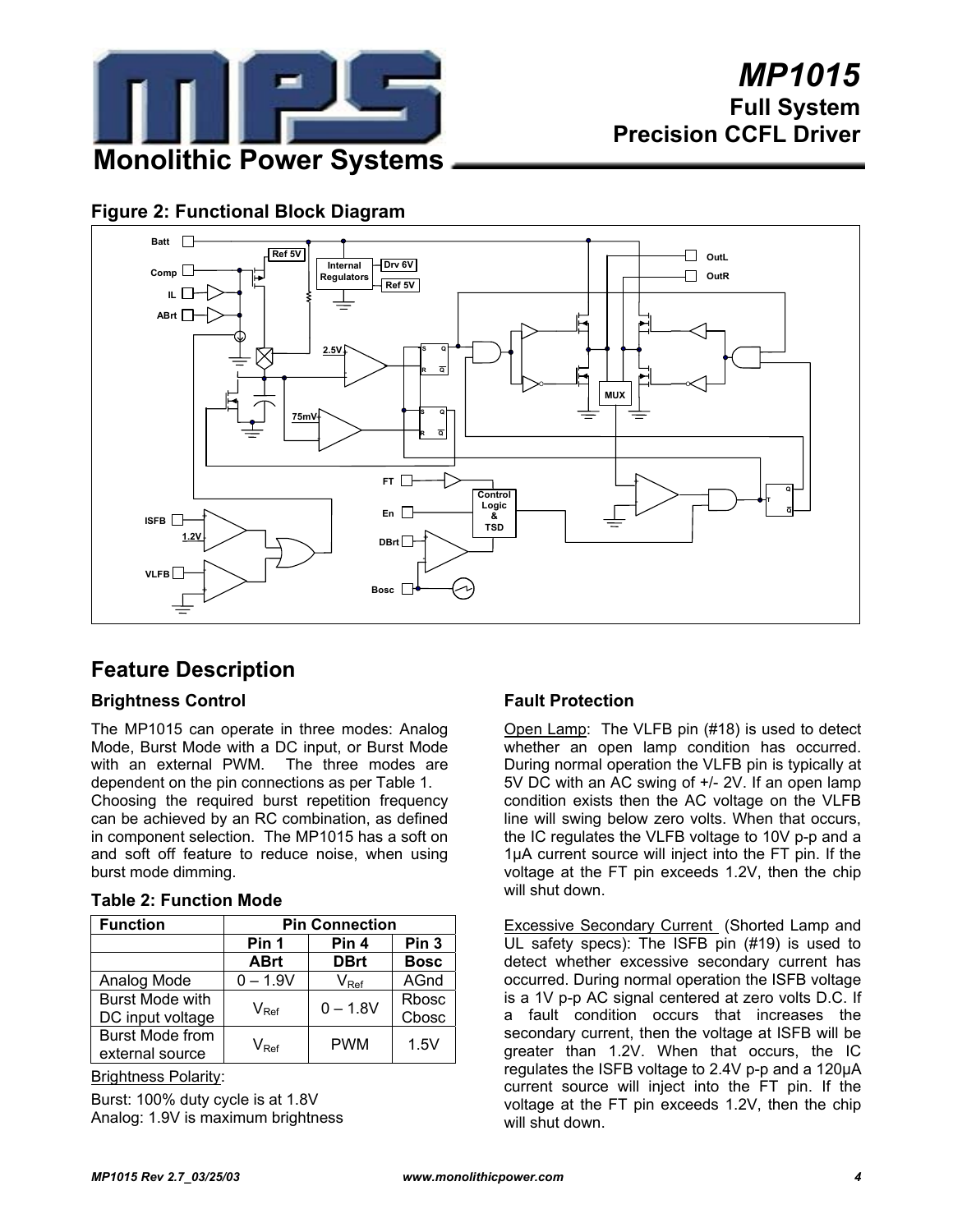

## **Figure 2: Functional Block Diagram**



# **Feature Description**

### **Brightness Control**

The MP1015 can operate in three modes: Analog Mode, Burst Mode with a DC input, or Burst Mode with an external PWM. The three modes are dependent on the pin connections as per Table 1.

Choosing the required burst repetition frequency can be achieved by an RC combination, as defined in component selection. The MP1015 has a soft on and soft off feature to reduce noise, when using burst mode dimming.

#### **Table 2: Function Mode**

| <b>Function</b>        | <b>Pin Connection</b>       |                             |                  |
|------------------------|-----------------------------|-----------------------------|------------------|
|                        | Pin 1                       | Pin 4                       | Pin <sub>3</sub> |
|                        | <b>ABrt</b>                 | <b>DBrt</b>                 | <b>Bosc</b>      |
| Analog Mode            | $0 - 1.9V$                  | $\mathsf{V}_{\mathsf{Ref}}$ | AGnd             |
| <b>Burst Mode with</b> |                             | $0 - 1.8V$                  | Rbosc            |
| DC input voltage       | $\mathsf{V}_{\mathsf{Ref}}$ |                             | Cbosc            |
| <b>Burst Mode from</b> | $\mathsf{V}_{\mathsf{Ref}}$ | <b>PWM</b>                  | 1.5V             |
| external source        |                             |                             |                  |

Brightness Polarity:

Burst: 100% duty cycle is at 1.8V Analog: 1.9V is maximum brightness

### **Fault Protection**

Open Lamp: The VLFB pin (#18) is used to detect whether an open lamp condition has occurred. During normal operation the VLFB pin is typically at 5V DC with an AC swing of +/- 2V. If an open lamp condition exists then the AC voltage on the VLFB line will swing below zero volts. When that occurs, the IC regulates the VLFB voltage to 10V p-p and a 1µA current source will inject into the FT pin. If the voltage at the FT pin exceeds 1.2V, then the chip will shut down.

**Excessive Secondary Current** (Shorted Lamp and UL safety specs): The ISFB pin (#19) is used to detect whether excessive secondary current has occurred. During normal operation the ISFB voltage is a 1V p-p AC signal centered at zero volts D.C. If a fault condition occurs that increases the secondary current, then the voltage at ISFB will be greater than 1.2V. When that occurs, the IC regulates the ISFB voltage to 2.4V p-p and a 120µA current source will inject into the FT pin. If the voltage at the FT pin exceeds 1.2V, then the chip will shut down.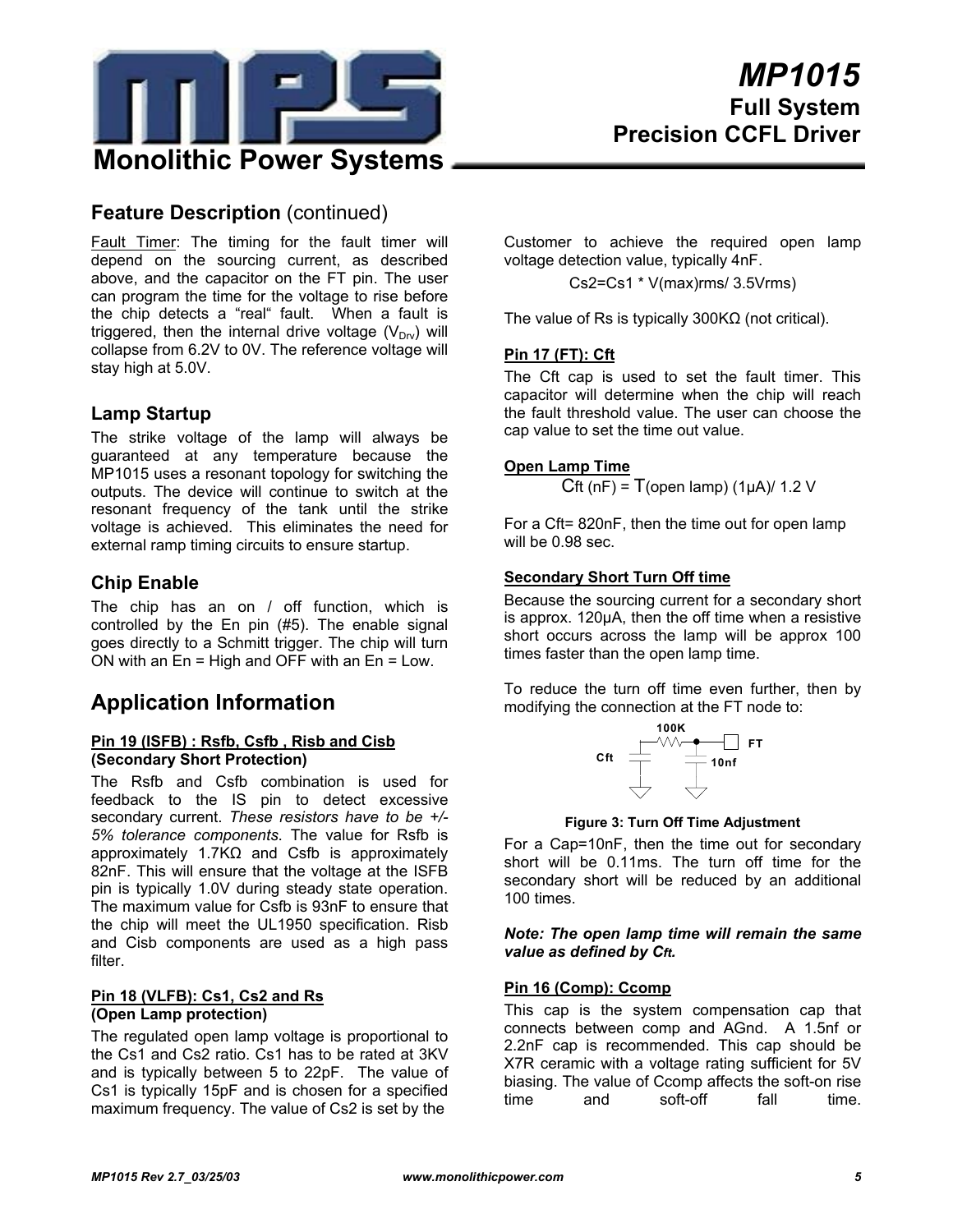

# **Feature Description** (continued)

Fault Timer: The timing for the fault timer will depend on the sourcing current, as described above, and the capacitor on the FT pin. The user can program the time for the voltage to rise before the chip detects a "real" fault. When a fault is triggered, then the internal drive voltage  $(V_{Drv})$  will collapse from 6.2V to 0V. The reference voltage will stay high at 5.0V.

### **Lamp Startup**

The strike voltage of the lamp will always be guaranteed at any temperature because the MP1015 uses a resonant topology for switching the outputs. The device will continue to switch at the resonant frequency of the tank until the strike voltage is achieved. This eliminates the need for external ramp timing circuits to ensure startup.

### **Chip Enable**

The chip has an on / off function, which is controlled by the En pin (#5). The enable signal goes directly to a Schmitt trigger. The chip will turn ON with an En = High and OFF with an En = Low.

# **Application Information**

#### **Pin 19 (ISFB) : Rsfb, Csfb , Risb and Cisb (Secondary Short Protection)**

The Rsfb and Csfb combination is used for feedback to the IS pin to detect excessive secondary current. *These resistors have to be +/- 5% tolerance components*. The value for Rsfb is approximately  $1.7K\Omega$  and Csfb is approximately 82nF. This will ensure that the voltage at the ISFB pin is typically 1.0V during steady state operation. The maximum value for Csfb is 93nF to ensure that the chip will meet the UL1950 specification. Risb and Cisb components are used as a high pass filter.

#### **Pin 18 (VLFB): Cs1, Cs2 and Rs (Open Lamp protection)**

The regulated open lamp voltage is proportional to the Cs1 and Cs2 ratio. Cs1 has to be rated at 3KV and is typically between 5 to 22pF. The value of Cs1 is typically 15pF and is chosen for a specified maximum frequency. The value of Cs2 is set by the

Customer to achieve the required open lamp voltage detection value, typically 4nF.

Cs2=Cs1 \* V(max)rms/ 3.5Vrms)

The value of Rs is typically 300KΩ (not critical).

### **Pin 17 (FT): Cft**

The Cft cap is used to set the fault timer. This capacitor will determine when the chip will reach the fault threshold value. The user can choose the cap value to set the time out value.

#### **Open Lamp Time**

Cft (nF) =  $T$ (open lamp) (1µA)/ 1.2 V

For a Cft= 820nF, then the time out for open lamp will be 0.98 sec.

#### **Secondary Short Turn Off time**

Because the sourcing current for a secondary short is approx. 120µA, then the off time when a resistive short occurs across the lamp will be approx 100 times faster than the open lamp time.

To reduce the turn off time even further, then by modifying the connection at the FT node to:



#### **Figure 3: Turn Off Time Adjustment**

For a Cap=10nF, then the time out for secondary short will be 0.11ms. The turn off time for the secondary short will be reduced by an additional 100 times.

#### *Note: The open lamp time will remain the same value as defined by Cft.*

#### **Pin 16 (Comp): Ccomp**

This cap is the system compensation cap that connects between comp and AGnd. A 1.5nf or 2.2nF cap is recommended. This cap should be X7R ceramic with a voltage rating sufficient for 5V biasing. The value of Ccomp affects the soft-on rise time and soft-off fall time.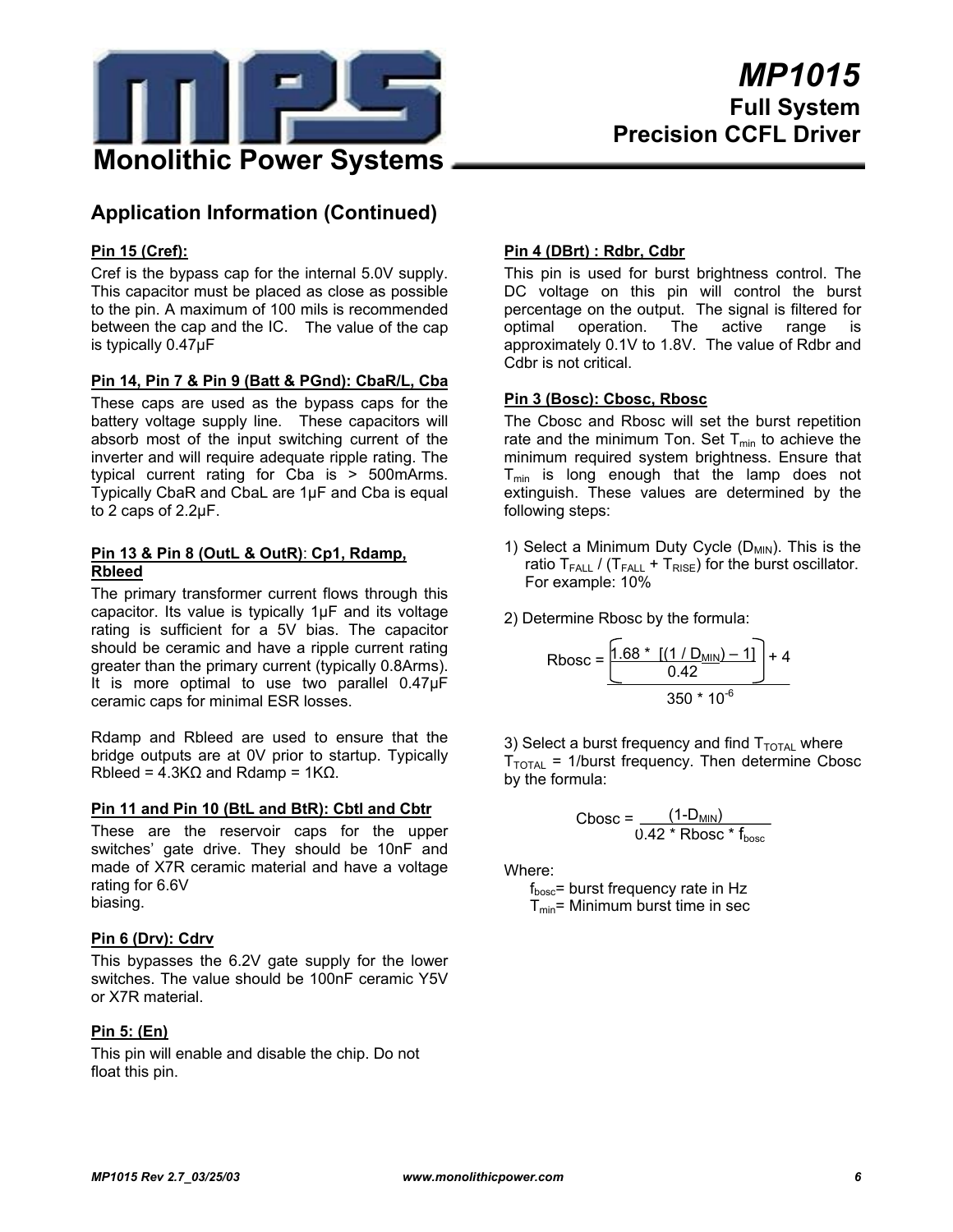

## **Application Information (Continued)**

#### **Pin 15 (Cref):**

Cref is the bypass cap for the internal 5.0V supply. This capacitor must be placed as close as possible to the pin. A maximum of 100 mils is recommended between the cap and the IC.The value of the cap is typically 0.47µF

### **Pin 14, Pin 7 & Pin 9 (Batt & PGnd): CbaR/L, Cba**

These caps are used as the bypass caps for the battery voltage supply line. These capacitors will absorb most of the input switching current of the inverter and will require adequate ripple rating. The typical current rating for Cba is > 500mArms. Typically CbaR and CbaL are 1µF and Cba is equal to 2 caps of 2.2µF.

#### **Pin 13 & Pin 8 (OutL & OutR)**: **Cp1, Rdamp, Rbleed**

The primary transformer current flows through this capacitor. Its value is typically 1µF and its voltage rating is sufficient for a 5V bias. The capacitor should be ceramic and have a ripple current rating greater than the primary current (typically 0.8Arms). It is more optimal to use two parallel 0.47µF ceramic caps for minimal ESR losses.

Rdamp and Rbleed are used to ensure that the bridge outputs are at 0V prior to startup. Typically Rbleed =  $4.3K\Omega$  and Rdamp = 1K $\Omega$ .

#### **Pin 11 and Pin 10 (BtL and BtR): Cbtl and Cbtr**

These are the reservoir caps for the upper switches' gate drive. They should be 10nF and made of X7R ceramic material and have a voltage rating for 6.6V biasing.

#### **Pin 6 (Drv): Cdrv**

This bypasses the 6.2V gate supply for the lower switches. The value should be 100nF ceramic Y5V or X7R material.

#### **Pin 5: (En)**

This pin will enable and disable the chip. Do not float this pin.

#### **Pin 4 (DBrt) : Rdbr, Cdbr**

This pin is used for burst brightness control. The DC voltage on this pin will control the burst percentage on the output. The signal is filtered for optimal operation. The active range is approximately 0.1V to 1.8V. The value of Rdbr and Cdbr is not critical.

#### **Pin 3 (Bosc): Cbosc, Rbosc**

The Cbosc and Rbosc will set the burst repetition rate and the minimum Ton. Set  $T_{min}$  to achieve the minimum required system brightness. Ensure that  $T_{min}$  is long enough that the lamp does not extinguish. These values are determined by the following steps:

1) Select a Minimum Duty Cycle  $(D_{MIN})$ . This is the ratio T<sub>FALL</sub> / (T<sub>FALL</sub> + T<sub>RISE</sub>) for the burst oscillator. For example: 10%

2) Determine Rbosc by the formula:

Rbox = 
$$
\frac{1.68 * [(1/D_{MIN}) - 1]}{0.42} + 4
$$

$$
350 * 10^{-6}
$$

3) Select a burst frequency and find  $T_{\text{TOTAL}}$  where  $T_{\text{TOTAL}}$  = 1/burst frequency. Then determine Cbosc by the formula:

$$
C\textrm{bosc} = \frac{(1-D_{\textrm{MIN}})}{0.42 \times \textrm{Rbosc} \times f_{\textrm{bosc}}}
$$

Where:

 $f_{\text{base}}$ = burst frequency rate in Hz  $T_{min}$ = Minimum burst time in sec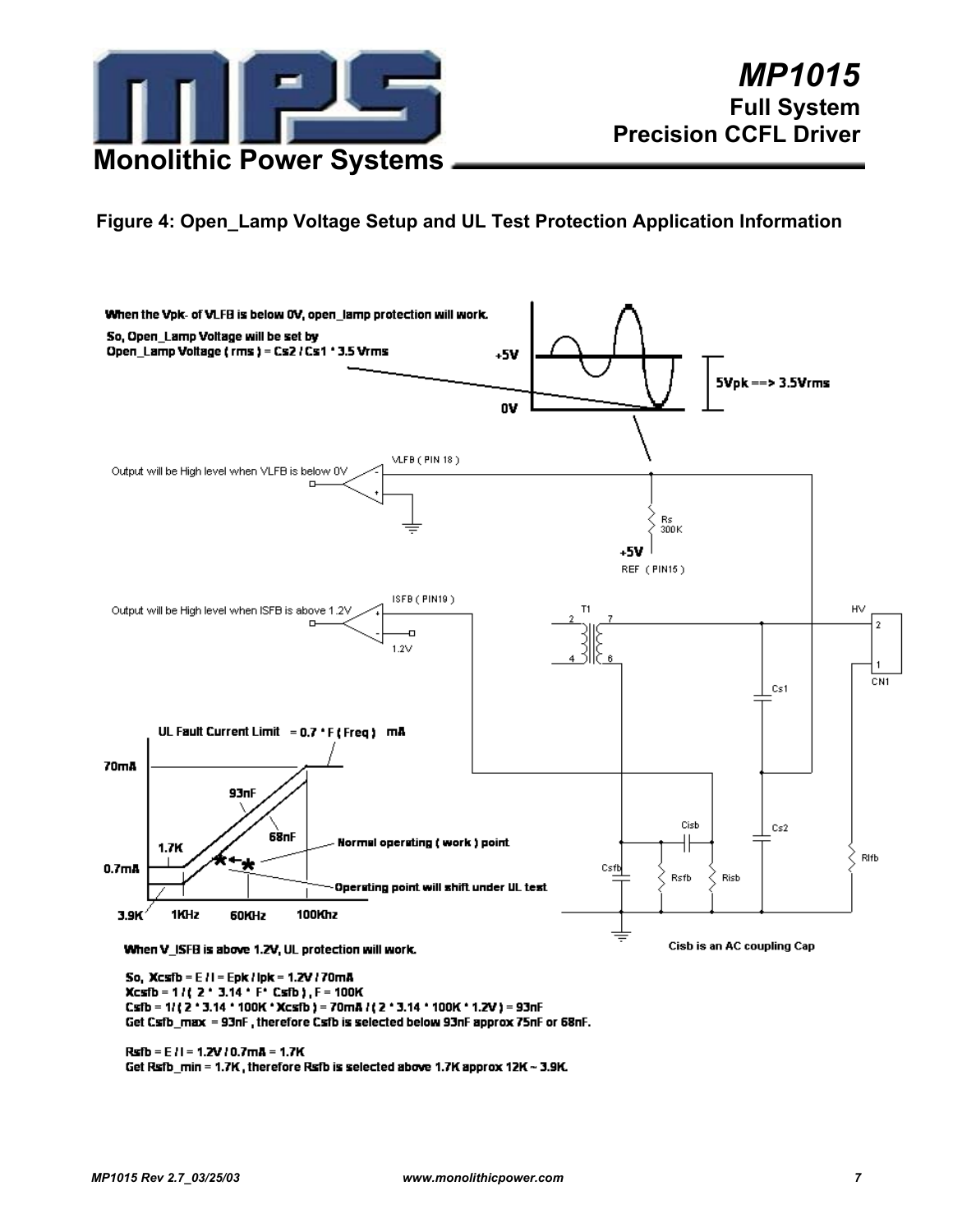

## **Figure 4: Open\_Lamp Voltage Setup and UL Test Protection Application Information**



Xcsfb = 11( 2 \* 3.14 \* F\* Csfb ), F = 100K Csfb = 1/(2 \* 3.14 \* 100K \* Xcsfb) = 70mA /(2 \* 3.14 \* 100K \* 1.2V) = 93nF Get Csfb\_max = 93nF, therefore Csfb is selected below 93nF approx 75nF or 68nF.

Rsfb = E / I = 1.2V / 0.7mA = 1.7K

Get Rsfb\_min = 1.7K, therefore Rsfb is selected above 1.7K approx 12K ~ 3.9K.